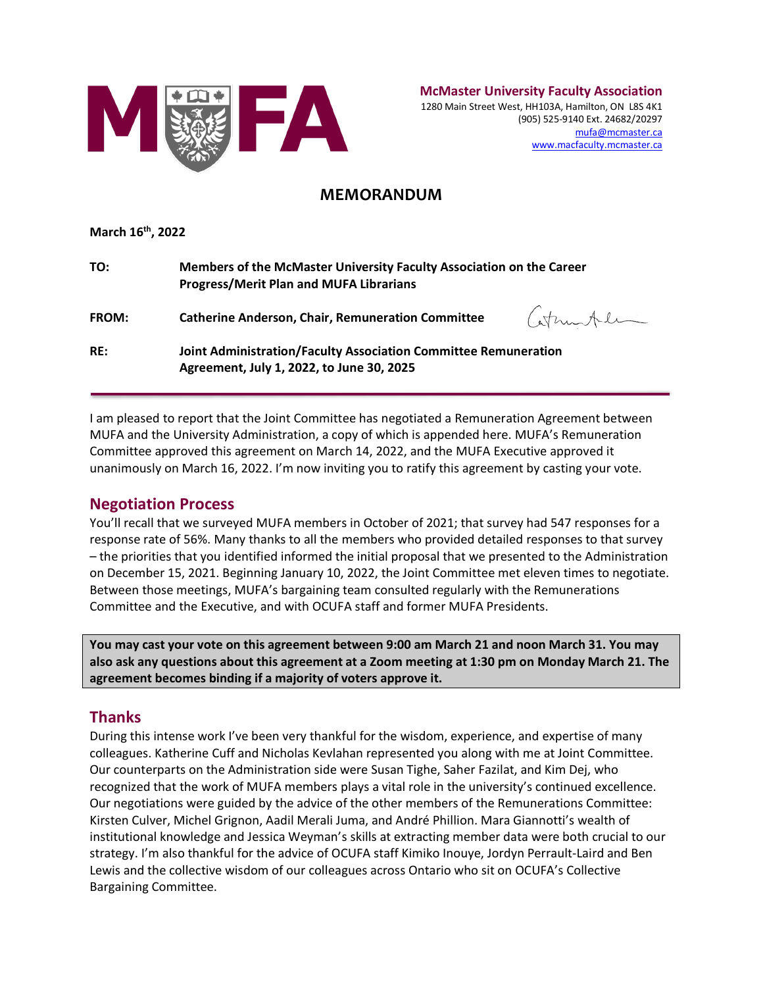

**McMaster University Faculty Association** 1280 Main Street West, HH103A, Hamilton, ON L8S 4K1 (905) 525-9140 Ext. 24682/20297 [mufa@mcmaster.ca](mailto:mufa@mcmaster.ca) www.macfaculty.mcmaster.ca

# **MEMORANDUM**

**March 16th, 2022**

| TO:          | Members of the McMaster University Faculty Association on the Career<br><b>Progress/Merit Plan and MUFA Librarians</b> |
|--------------|------------------------------------------------------------------------------------------------------------------------|
| <b>FROM:</b> | Catherintel<br><b>Catherine Anderson, Chair, Remuneration Committee</b>                                                |
| RE:          | Joint Administration/Faculty Association Committee Remuneration<br>Agreement, July 1, 2022, to June 30, 2025           |

I am pleased to report that the Joint Committee has negotiated a Remuneration Agreement between MUFA and the University Administration, a copy of which is appended here. MUFA's Remuneration Committee approved this agreement on March 14, 2022, and the MUFA Executive approved it unanimously on March 16, 2022. I'm now inviting you to ratify this agreement by casting your vote.

## **Negotiation Process**

You'll recall that we surveyed MUFA members in October of 2021; that survey had 547 responses for a response rate of 56%. Many thanks to all the members who provided detailed responses to that survey – the priorities that you identified informed the initial proposal that we presented to the Administration on December 15, 2021. Beginning January 10, 2022, the Joint Committee met eleven times to negotiate. Between those meetings, MUFA's bargaining team consulted regularly with the Remunerations Committee and the Executive, and with OCUFA staff and former MUFA Presidents.

**You may cast your vote on this agreement between 9:00 am March 21 and noon March 31. You may also ask any questions about this agreement at a Zoom meeting at 1:30 pm on Monday March 21. The agreement becomes binding if a majority of voters approve it.** 

# **Thanks**

During this intense work I've been very thankful for the wisdom, experience, and expertise of many colleagues. Katherine Cuff and Nicholas Kevlahan represented you along with me at Joint Committee. Our counterparts on the Administration side were Susan Tighe, Saher Fazilat, and Kim Dej, who recognized that the work of MUFA members plays a vital role in the university's continued excellence. Our negotiations were guided by the advice of the other members of the Remunerations Committee: Kirsten Culver, Michel Grignon, Aadil Merali Juma, and André Phillion. Mara Giannotti's wealth of institutional knowledge and Jessica Weyman's skills at extracting member data were both crucial to our strategy. I'm also thankful for the advice of OCUFA staff Kimiko Inouye, Jordyn Perrault-Laird and Ben Lewis and the collective wisdom of our colleagues across Ontario who sit on OCUFA's Collective Bargaining Committee.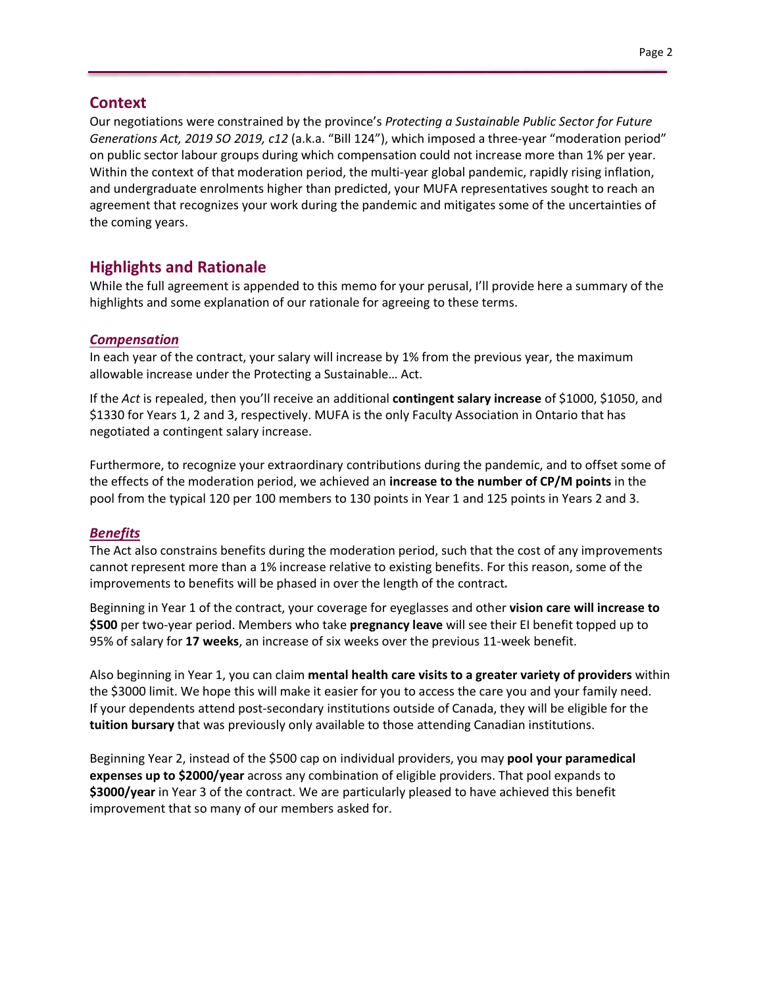## **Context**

Our negotiations were constrained by the province's *Protecting a Sustainable Public Sector for Future Generations Act, 2019 SO 2019, c12* (a.k.a. "Bill 124"), which imposed a three-year "moderation period" on public sector labour groups during which compensation could not increase more than 1% per year. Within the context of that moderation period, the multi-year global pandemic, rapidly rising inflation, and undergraduate enrolments higher than predicted, your MUFA representatives sought to reach an agreement that recognizes your work during the pandemic and mitigates some of the uncertainties of the coming years.

## **Highlights and Rationale**

While the full agreement is appended to this memo for your perusal, I'll provide here a summary of the highlights and some explanation of our rationale for agreeing to these terms.

#### *Compensation*

In each year of the contract, your salary will increase by 1% from the previous year, the maximum allowable increase under the Protecting a Sustainable… Act.

If the *Act* is repealed, then you'll receive an additional **contingent salary increase** of \$1000, \$1050, and \$1330 for Years 1, 2 and 3, respectively. MUFA is the only Faculty Association in Ontario that has negotiated a contingent salary increase.

Furthermore, to recognize your extraordinary contributions during the pandemic, and to offset some of the effects of the moderation period, we achieved an **increase to the number of CP/M points** in the pool from the typical 120 per 100 members to 130 points in Year 1 and 125 points in Years 2 and 3.

### *Benefits*

The Act also constrains benefits during the moderation period, such that the cost of any improvements cannot represent more than a 1% increase relative to existing benefits. For this reason, some of the improvements to benefits will be phased in over the length of the contract*.* 

Beginning in Year 1 of the contract, your coverage for eyeglasses and other **vision care will increase to \$500** per two-year period. Members who take **pregnancy leave** will see their EI benefit topped up to 95% of salary for **17 weeks**, an increase of six weeks over the previous 11-week benefit.

Also beginning in Year 1, you can claim **mental health care visits to a greater variety of providers** within the \$3000 limit. We hope this will make it easier for you to access the care you and your family need. If your dependents attend post-secondary institutions outside of Canada, they will be eligible for the **tuition bursary** that was previously only available to those attending Canadian institutions.

Beginning Year 2, instead of the \$500 cap on individual providers, you may **pool your paramedical expenses up to \$2000/year** across any combination of eligible providers. That pool expands to **\$3000/year** in Year 3 of the contract. We are particularly pleased to have achieved this benefit improvement that so many of our members asked for.